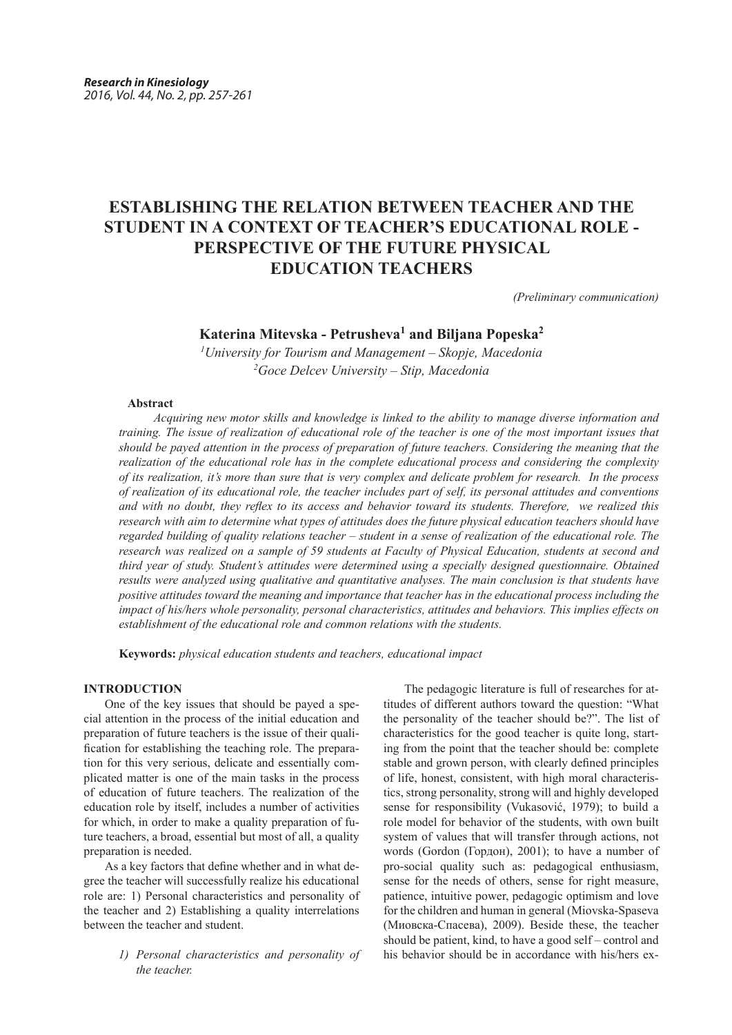# **ESTABLISHING THE RELATION BETWEEN TEACHER AND THE STUDENT IN A CONTEXT OF TEACHER'S EDUCATIONAL ROLE - PERSPECTIVE OF THE FUTURE PHYSICAL EDUCATION TEACHERS**

*(Preliminary communication)*

## **Katerina Mitevska - Petrusheva<sup>1</sup> and Biljana Popeska<sup>2</sup>**

*1 University for Tourism and Management – Skopje, Macedonia 2 Goce Delcev University – Stip, Macedonia*

## **Abstract**

*Acquiring new motor skills and knowledge is linked to the ability to manage diverse information and training. The issue of realization of educational role of the teacher is one of the most important issues that should be payed attention in the process of preparation of future teachers. Considering the meaning that the realization of the educational role has in the complete educational process and considering the complexity of its realization, it's more than sure that is very complex and delicate problem for research. In the process of realization of its educational role, the teacher includes part of self, its personal attitudes and conventions and with no doubt, they reflex to its access and behavior toward its students. Therefore, we realized this research with aim to determine what types of attitudes does the future physical education teachers should have regarded building of quality relations teacher – student in a sense of realization of the educational role. The research was realized on a sample of 59 students at Faculty of Physical Education, students at second and third year of study. Student's attitudes were determined using a specially designed questionnaire. Оbtained results were analyzed using qualitative and quantitative analyses. The main conclusion is that students have positive attitudes toward the meaning and importance that teacher has in the educational process including the impact of his/hers whole personality, personal characteristics, attitudes and behaviors. This implies effects on establishment of the educational role and common relations with the students.* 

**Keywords:** *physical education students and teachers, educational impact*

## **INTRODUCTION**

One of the key issues that should be payed a special attention in the process of the initial education and preparation of future teachers is the issue of their qualification for establishing the teaching role. The preparation for this very serious, delicate and essentially complicated matter is one of the main tasks in the process of education of future teachers. The realization of the education role by itself, includes a number of activities for which, in order to make a quality preparation of future teachers, a broad, essential but most of all, a quality preparation is needed.

As a key factors that define whether and in what degree the teacher will successfully realize his educational role are: 1) Personal characteristics and personality of the teacher and 2) Establishing a quality interrelations between the teacher and student.

> *1) Personal characteristics and personality of the teacher.*

The pedagogic literature is full of researches for attitudes of different authors toward the question: "What the personality of the teacher should be?". The list of characteristics for the good teacher is quite long, starting from the point that the teacher should be: complete stable and grown person, with clearly defined principles of life, honest, consistent, with high moral characteristics, strong personality, strong will and highly developed sense for responsibility (Vukasović, 1979); to build a role model for behavior of the students, with own built system of values that will transfer through actions, not words (Gordon (Гордон), 2001); to have a number of pro-social quality such as: pedagogical enthusiasm, sense for the needs of others, sense for right measure, patience, intuitive power, pedagogic optimism and love for the children and human in general (Miovska-Spaseva (Миовска-Спасева), 2009). Beside these, the teacher should be patient, kind, to have a good self – control and his behavior should be in accordance with his/hers ex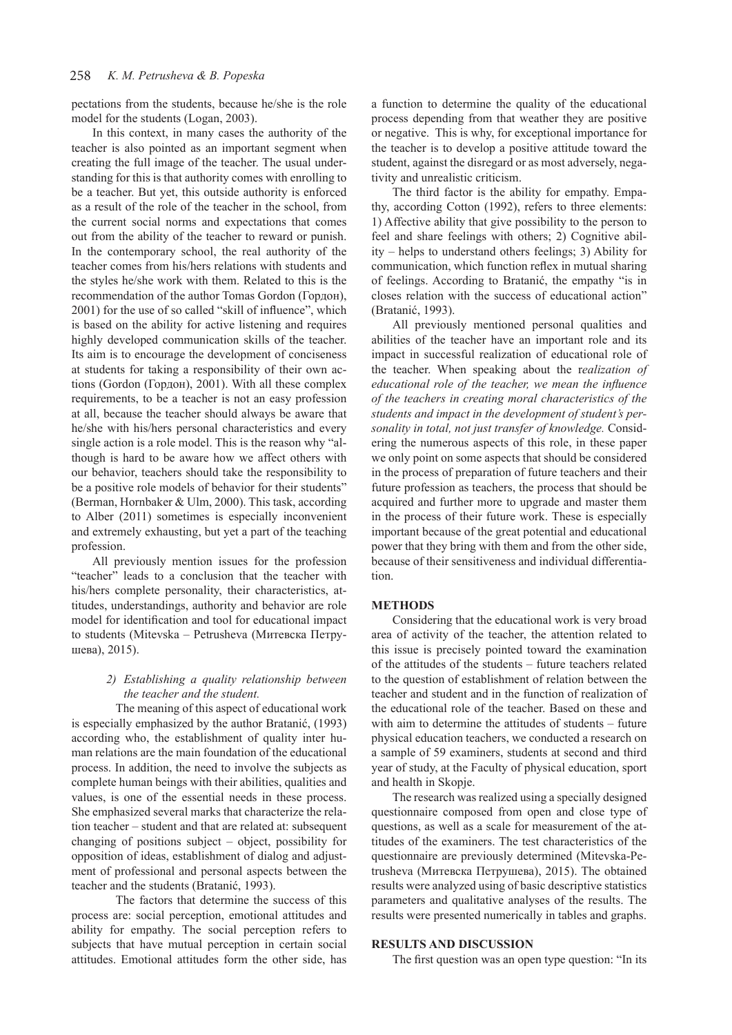pectations from the students, because he/she is the role model for the students (Logan, 2003).

In this context, in many cases the authority of the teacher is also pointed as an important segment when creating the full image of the teacher. The usual understanding for this is that authority comes with enrolling to be a teacher. But yet, this outside authority is enforced as a result of the role of the teacher in the school, from the current social norms and expectations that comes out from the ability of the teacher to reward or punish. In the contemporary school, the real authority of the teacher comes from his/hers relations with students and the styles he/she work with them. Related to this is the recommendation of the author Tomas Gordon (Гордон), 2001) for the use of so called "skill of influence", which is based on the ability for active listening and requires highly developed communication skills of the teacher. Its aim is to encourage the development of conciseness at students for taking a responsibility of their own actions (Gordon (Гордон), 2001). With all these complex requirements, to be a teacher is not an easy profession at all, because the teacher should always be aware that he/she with his/hers personal characteristics and every single action is a role model. This is the reason why "although is hard to be aware how we affect others with our behavior, teachers should take the responsibility to be a positive role models of behavior for their students" (Berman, Hornbaker & Ulm, 2000). This task, according to Alber (2011) sometimes is especially inconvenient and extremely exhausting, but yet a part of the teaching profession.

All previously mention issues for the profession "teacher" leads to a conclusion that the teacher with his/hers complete personality, their characteristics, attitudes, understandings, authority and behavior are role model for identification and tool for educational impact to students (Mitevska – Petrusheva (Митевска Петрушева), 2015).

## *2) Establishing a quality relationship between the teacher and the student.*

The meaning of this aspect of educational work is especially emphasized by the author Bratanić, (1993) according who, the establishment of quality inter human relations are the main foundation of the educational process. In addition, the need to involve the subjects as complete human beings with their abilities, qualities and values, is one of the essential needs in these process. She emphasized several marks that characterize the relation teacher – student and that are related at: subsequent changing of positions subject – object, possibility for opposition of ideas, establishment of dialog and adjustment of professional and personal aspects between the teacher and the students (Bratanić, 1993).

The factors that determine the success of this process are: social perception, emotional attitudes and ability for empathy. The social perception refers to subjects that have mutual perception in certain social attitudes. Emotional attitudes form the other side, has

a function to determine the quality of the educational process depending from that weather they are positive or negative. This is why, for exceptional importance for the teacher is to develop a positive attitude toward the student, against the disregard or as most adversely, negativity and unrealistic criticism.

The third factor is the ability for empathy. Empathy, according Cotton (1992), refers to three elements: 1) Affective ability that give possibility to the person to feel and share feelings with others; 2) Cognitive ability – helps to understand others feelings; 3) Ability for communication, which function reflex in mutual sharing of feelings. According to Bratanić, the empathy "is in closes relation with the success of educational action" (Bratanić, 1993).

All previously mentioned personal qualities and abilities of the teacher have an important role and its impact in successful realization of educational role of the teacher. When speaking about the r*ealization of educational role of the teacher, we mean the influence of the teachers in creating moral characteristics of the students and impact in the development of student's personality in total, not just transfer of knowledge.* Considering the numerous aspects of this role, in these paper we only point on some aspects that should be considered in the process of preparation of future teachers and their future profession as teachers, the process that should be acquired and further more to upgrade and master them in the process of their future work. These is especially important because of the great potential and educational power that they bring with them and from the other side, because of their sensitiveness and individual differentiation.

## **METHODS**

Considering that the educational work is very broad area of activity of the teacher, the attention related to this issue is precisely pointed toward the examination of the attitudes of the students – future teachers related to the question of establishment of relation between the teacher and student and in the function of realization of the educational role of the teacher. Based on these and with aim to determine the attitudes of students – future physical education teachers, we conducted a research on a sample of 59 examiners, students at second and third year of study, at the Faculty of physical education, sport and health in Skopje.

The research was realized using a specially designed questionnaire composed from open and close type of questions, as well as a scale for measurement of the attitudes of the examiners. The test characteristics of the questionnaire are previously determined (Mitevska-Petrusheva (Митевска Петрушева), 2015). The obtained results were analyzed using of basic descriptive statistics parameters and qualitative analyses of the results. The results were presented numerically in tables and graphs.

#### **RESULTS AND DISCUSSION**

The first question was an open type question: "In its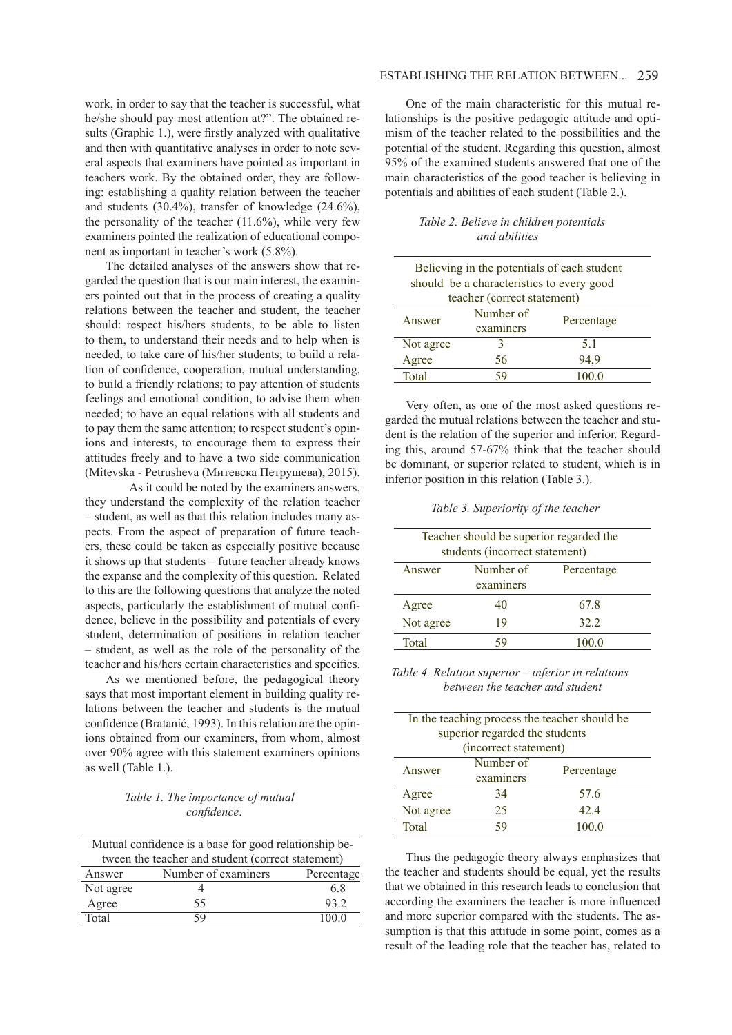work, in order to say that the teacher is successful, what he/she should pay most attention at?". The obtained results (Graphic 1.), were firstly analyzed with qualitative and then with quantitative analyses in order to note several aspects that examiners have pointed as important in teachers work. By the obtained order, they are following: establishing a quality relation between the teacher and students (30.4%), transfer of knowledge (24.6%), the personality of the teacher  $(11.6\%)$ , while very few examiners pointed the realization of educational component as important in teacher's work (5.8%).

The detailed analyses of the answers show that regarded the question that is our main interest, the examiners pointed out that in the process of creating a quality relations between the teacher and student, the teacher should: respect his/hers students, to be able to listen to them, to understand their needs and to help when is needed, to take care of his/her students; to build a relation of confidence, cooperation, mutual understanding, to build a friendly relations; to pay attention of students feelings and emotional condition, to advise them when needed; to have an equal relations with all students and to pay them the same attention; to respect student's opinions and interests, to encourage them to express their attitudes freely and to have a two side communication (Mitevska - Petrusheva (Митевска Петрушева), 2015).

As it could be noted by the examiners answers, they understand the complexity of the relation teacher – student, as well as that this relation includes many aspects. From the aspect of preparation of future teachers, these could be taken as especially positive because it shows up that students – future teacher already knows the expanse and the complexity of this question. Related to this are the following questions that analyze the noted aspects, particularly the establishment of mutual confidence, believe in the possibility and potentials of every student, determination of positions in relation teacher – student, as well as the role of the personality of the teacher and his/hers certain characteristics and specifics.

As we mentioned before, the pedagogical theory says that most important element in building quality relations between the teacher and students is the mutual confidence (Bratanić, 1993). In this relation are the opinions obtained from our examiners, from whom, almost over 90% agree with this statement examiners opinions as well (Table 1.).

## *Table 1. The importance of mutual confidence*.

| Mutual confidence is a base for good relationship be- |    |       |  |
|-------------------------------------------------------|----|-------|--|
| tween the teacher and student (correct statement)     |    |       |  |
| Number of examiners<br>Percentage<br>Answer           |    |       |  |
| Not agree                                             |    | 6.8   |  |
| Agree                                                 | 55 | 93.2  |  |
| Total                                                 | 59 | 100 0 |  |

## ESTABLISHING THE RELATION BETWEEN... 259

One of the main characteristic for this mutual relationships is the positive pedagogic attitude and optimism of the teacher related to the possibilities and the potential of the student. Regarding this question, almost 95% of the examined students answered that one of the main characteristics of the good teacher is believing in potentials and abilities of each student (Table 2.).

## *Table 2. Believe in children potentials and abilities*

| Believing in the potentials of each student<br>should be a characteristics to every good<br>teacher (correct statement) |           |            |  |
|-------------------------------------------------------------------------------------------------------------------------|-----------|------------|--|
| Answer                                                                                                                  | Number of | Percentage |  |
|                                                                                                                         | examiners |            |  |
| Not agree                                                                                                               |           | 51         |  |
| Agree                                                                                                                   | 56        | 94,9       |  |
| Total                                                                                                                   |           | 100.0      |  |

Very often, as one of the most asked questions regarded the mutual relations between the teacher and student is the relation of the superior and inferior. Regarding this, around 57-67% think that the teacher should be dominant, or superior related to student, which is in inferior position in this relation (Table 3.).

 *Table 3. Superiority of the teacher*

| Teacher should be superior regarded the<br>students (incorrect statement) |                        |            |  |
|---------------------------------------------------------------------------|------------------------|------------|--|
| Answer                                                                    | Number of<br>examiners | Percentage |  |
| Agree                                                                     | 40                     | 67.8       |  |
| Not agree                                                                 | 19                     | 32.2       |  |
| Total                                                                     |                        | 100.0      |  |

 *Table 4. Relation superior – inferior in relations between the teacher and student*

| In the teaching process the teacher should be<br>superior regarded the students |                        |            |  |
|---------------------------------------------------------------------------------|------------------------|------------|--|
| (incorrect statement)                                                           |                        |            |  |
| Answer                                                                          | Number of<br>examiners | Percentage |  |
| Agree                                                                           | 34                     | 57.6       |  |
| Not agree                                                                       | 25                     | 42.4       |  |
| Total                                                                           |                        | 1000       |  |

Thus the pedagogic theory always emphasizes that the teacher and students should be equal, yet the results that we obtained in this research leads to conclusion that according the examiners the teacher is more influenced and more superior compared with the students. The assumption is that this attitude in some point, comes as a result of the leading role that the teacher has, related to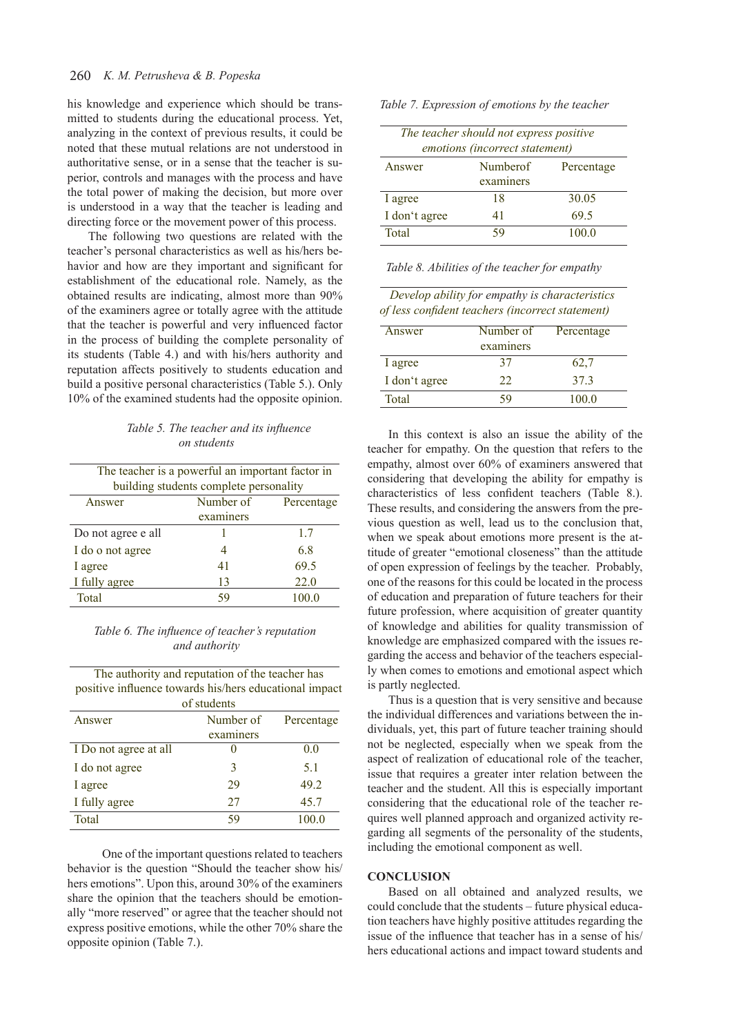## 260 *K. M. Petrusheva & B. Popeska*

his knowledge and experience which should be transmitted to students during the educational process. Yet, analyzing in the context of previous results, it could be noted that these mutual relations are not understood in authoritative sense, or in a sense that the teacher is superior, controls and manages with the process and have the total power of making the decision, but more over is understood in a way that the teacher is leading and directing force or the movement power of this process.

The following two questions are related with the teacher's personal characteristics as well as his/hers behavior and how are they important and significant for establishment of the educational role. Namely, as the obtained results are indicating, almost more than 90% of the examiners agree or totally agree with the attitude that the teacher is powerful and very influenced factor in the process of building the complete personality of its students (Table 4.) and with his/hers authority and reputation affects positively to students education and build a positive personal characteristics (Table 5.). Only 10% of the examined students had the opposite opinion.

 *Table 5. The teacher and its influence on students*

| The teacher is a powerful an important factor in |                         |       |  |  |
|--------------------------------------------------|-------------------------|-------|--|--|
| building students complete personality           |                         |       |  |  |
| Answer                                           | Number of<br>Percentage |       |  |  |
| examiners                                        |                         |       |  |  |
| Do not agree e all                               |                         | 1.7   |  |  |
| I do o not agree                                 | 4                       | 68    |  |  |
| I agree                                          | 41                      | 69.5  |  |  |
| I fully agree                                    | 13                      | 22.0  |  |  |
| Total                                            | 59                      | 100.0 |  |  |

*Table 6. The influence of teacher's reputation and authority* 

| The authority and reputation of the teacher has        |
|--------------------------------------------------------|
| positive influence towards his/hers educational impact |
| $\alpha$ f atu danta                                   |

|                       | ui suuutiits |            |  |  |  |
|-----------------------|--------------|------------|--|--|--|
| Answer                | Number of    | Percentage |  |  |  |
|                       | examiners    |            |  |  |  |
| I Do not agree at all |              | 0.0        |  |  |  |
| I do not agree        | 3            | 5.1        |  |  |  |
| I agree               | 29           | 49.2       |  |  |  |
| I fully agree         | 27           | 45.7       |  |  |  |
| Total                 | 59           | 100.0      |  |  |  |

One of the important questions related to teachers behavior is the question "Should the teacher show his/ hers emotions". Upon this, around 30% of the examiners share the opinion that the teachers should be emotionally "more reserved" or agree that the teacher should not express positive emotions, while the other 70% share the opposite opinion (Table 7.).

| Table 7. Expression of emotions by the teacher |  |  |  |
|------------------------------------------------|--|--|--|
|                                                |  |  |  |

| The teacher should not express positive<br>emotions (incorrect statement) |           |       |  |
|---------------------------------------------------------------------------|-----------|-------|--|
| Numberof<br>Answer<br>Percentage                                          |           |       |  |
|                                                                           | examiners |       |  |
| I agree                                                                   | 18        | 30.05 |  |
| I don't agree                                                             | 41        | 69.5  |  |
| Total                                                                     | 59        | 100.0 |  |

| Table 8. Abilities of the teacher for empathy |  |  |
|-----------------------------------------------|--|--|
|                                               |  |  |

 *Develop ability for empathy is characteristics of less confident teachers (incorrect statement)*

| Answer        | Number of | Percentage |
|---------------|-----------|------------|
|               | examiners |            |
| l agree       | 37        | 62,7       |
| I don't agree | 22        | 373        |
| Total         | ٦y        | 100.0      |

In this context is also an issue the ability of the teacher for empathy. On the question that refers to the empathy, almost over 60% of examiners answered that considering that developing the ability for empathy is characteristics of less confident teachers (Table 8.). These results, and considering the answers from the previous question as well, lead us to the conclusion that, when we speak about emotions more present is the attitude of greater "emotional closeness" than the attitude of open expression of feelings by the teacher. Probably, one of the reasons for this could be located in the process of education and preparation of future teachers for their future profession, where acquisition of greater quantity of knowledge and abilities for quality transmission of knowledge are emphasized compared with the issues regarding the access and behavior of the teachers especially when comes to emotions and emotional aspect which is partly neglected.

Thus is a question that is very sensitive and because the individual differences and variations between the individuals, yet, this part of future teacher training should not be neglected, especially when we speak from the aspect of realization of educational role of the teacher, issue that requires a greater inter relation between the teacher and the student. All this is especially important considering that the educational role of the teacher requires well planned approach and organized activity regarding all segments of the personality of the students, including the emotional component as well.

## **CONCLUSION**

Based on all obtained and analyzed results, we could conclude that the students – future physical education teachers have highly positive attitudes regarding the issue of the influence that teacher has in a sense of his/ hers educational actions and impact toward students and